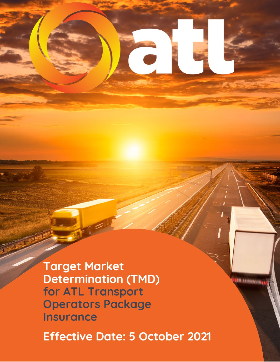**Target Market Determination (TMD)** for ATL Transport **Operators Package Insurance** 

**Effective Date: 5 October 2021** 

**STATISTICS**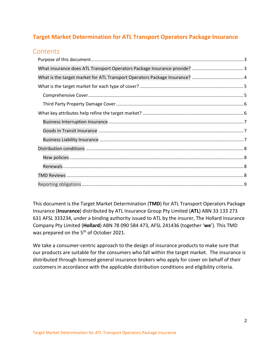# **Target Market Determination for ATL Transport Operators Package Insurance**

# **Contents**

This document is the Target Market Determination (**TMD**) for ATL Transport Operators Package Insurance (**Insurance**) distributed by ATL Insurance Group Pty Limited (**ATL**) ABN 33 133 273 631 AFSL 333234, under a binding authority issued to ATL by the insurer, The Hollard Insurance Company Pty Limited (**Hollard**) ABN 78 090 584 473, AFSL 241436 (together '**we**'). This TMD was prepared on the 5<sup>th</sup> of October 2021.

<span id="page-1-0"></span>We take a consumer-centric approach to the design of insurance products to make sure that our products are suitable for the consumers who fall within the target market. The insurance is distributed through licensed general insurance brokers who apply for cover on behalf of their customers in accordance with the applicable distribution conditions and eligibility criteria.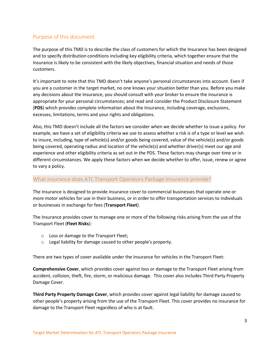# Purpose of this document

The purpose of this TMD is to describe the class of customers for which the Insurance has been designed and to specify distribution conditions including key eligibility criteria, which together ensure that the Insurance is likely to be consistent with the likely objectives, financial situation and needs of those customers.

It's important to note that this TMD doesn't take anyone's personal circumstances into account. Even if you are a customer in the target market, no one knows your situation better than you. Before you make any decisions about the Insurance, you should consult with your broker to ensure the insurance is appropriate for your personal circumstances; and read and consider the Product Disclosure Statement (**PDS**) which provides complete information about the Insurance, including coverage, exclusions, excesses, limitations, terms and your rights and obligations.

Also, this TMD doesn't include all the factors we consider when we decide whether to issue a policy. For example, we have a set of eligibility criteria we use to assess whether a risk is of a type or level we wish to insure, including, type of vehicle(s) and/or goods being covered, value of the vehicle(s) and/or goods being covered, operating radius and location of the vehicle(s) and whether driver(s) meet our age and experience and other eligibility criteria as set out in the PDS. These factors may change over time or in different circumstances. We apply these factors when we decide whether to offer, issue, renew or agree to vary a policy.

## <span id="page-2-0"></span>What insurance does ATL Transport Operators Package Insurance provide?

The Insurance is designed to provide insurance cover to commercial businesses that operate one or more motor vehicles for use in their business, or in order to offer transportation services to individuals or businesses in exchange for fees (**Transport Fleet**).

The Insurance provides cover to manage one or more of the following risks arising from the use of the Transport Fleet (**Fleet Risks**):

- o Loss or damage to the Transport Fleet;
- o Legal liability for damage caused to other people's property.

There are two types of cover available under the Insurance for vehicles in the Transport Fleet:

**Comprehensive Cover**, which provides cover against loss or damage to the Transport Fleet arising from accident, collision, theft, fire, storm, or malicious damage. This cover also includes Third Party Property Damage Cover.

**Third Party Property Damage Cover**, which provides cover against legal liability for damage caused to other people's property arising from the use of the Transport Fleet. This cover provides no insurance for damage to the Transport Fleet regardless of who is at fault.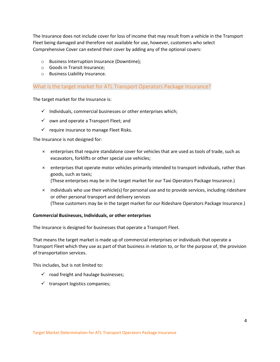The Insurance does not include cover for loss of income that may result from a vehicle in the Transport Fleet being damaged and therefore not available for use, however, customers who select Comprehensive Cover can extend their cover by adding any of the optional covers:

- o Business Interruption Insurance (Downtime);
- o Goods in Transit Insurance;
- o Business Liability Insurance.

## <span id="page-3-0"></span>What is the target market for ATL Transport Operators Package Insurance?

The target market for the Insurance is:

- $\checkmark$  Individuals, commercial businesses or other enterprises which;
- $\checkmark$  own and operate a Transport Fleet; and
- $\checkmark$  require insurance to manage Fleet Risks.

The Insurance is not designed for:

- × enterprises that require standalone cover for vehicles that are used as tools of trade, such as excavators, forklifts or other special use vehicles;
- × enterprises that operate motor vehicles primarily intended to transport individuals, rather than goods, such as taxis;
	- (These enterprises may be in the target market for our Taxi Operators Package Insurance.)
- × individuals who use their vehicle(s) for personal use and to provide services, including rideshare or other personal transport and delivery services (These customers may be in the target market for our Rideshare Operators Package Insurance.)

### **Commercial Businesses, Individuals, or other enterprises**

The Insurance is designed for businesses that operate a Transport Fleet.

That means the target market is made up of commercial enterprises or individuals that operate a Transport Fleet which they use as part of that business in relation to, or for the purpose of, the provision of transportation services.

This includes, but is not limited to:

- $\checkmark$  road freight and haulage businesses;
- $\checkmark$  transport logistics companies;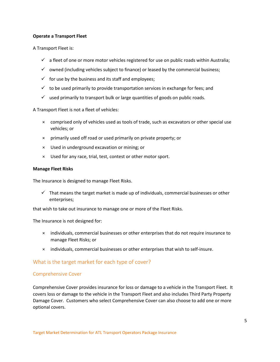#### **Operate a Transport Fleet**

A Transport Fleet is:

- $\checkmark$  a fleet of one or more motor vehicles registered for use on public roads within Australia;
- $\checkmark$  owned (including vehicles subject to finance) or leased by the commercial business;
- $\checkmark$  for use by the business and its staff and employees;
- $\checkmark$  to be used primarily to provide transportation services in exchange for fees; and
- $\checkmark$  used primarily to transport bulk or large quantities of goods on public roads.

A Transport Fleet is not a fleet of vehicles:

- × comprised only of vehicles used as tools of trade, such as excavators or other special use vehicles; or
- × primarily used off road or used primarily on private property; or
- × Used in underground excavation or mining; or
- × Used for any race, trial, test, contest or other motor sport.

#### **Manage Fleet Risks**

The Insurance is designed to manage Fleet Risks.

 $\checkmark$  That means the target market is made up of individuals, commercial businesses or other enterprises;

that wish to take out insurance to manage one or more of the Fleet Risks.

The Insurance is not designed for:

- × individuals, commercial businesses or other enterprises that do not require insurance to manage Fleet Risks; or
- × individuals, commercial businesses or other enterprises that wish to self-insure.

## <span id="page-4-0"></span>What is the target market for each type of cover?

#### <span id="page-4-1"></span>Comprehensive Cover

Comprehensive Cover provides insurance for loss or damage to a vehicle in the Transport Fleet. It covers loss or damage to the vehicle in the Transport Fleet and also includes Third Party Property Damage Cover. Customers who select Comprehensive Cover can also choose to add one or more optional covers.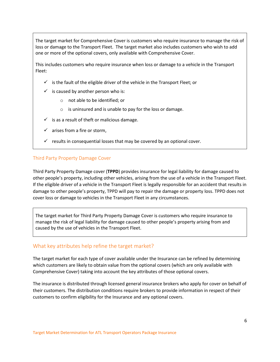The target market for Comprehensive Cover is customers who require insurance to manage the risk of loss or damage to the Transport Fleet. The target market also includes customers who wish to add one or more of the optional covers, only available with Comprehensive Cover.

This includes customers who require insurance when loss or damage to a vehicle in the Transport Fleet:

- $\checkmark$  is the fault of the eligible driver of the vehicle in the Transport Fleet; or
- $\checkmark$  is caused by another person who is:
	- o not able to be identified; or
	- o is uninsured and is unable to pay for the loss or damage.
- $\checkmark$  is as a result of theft or malicious damage.
- $\checkmark$  arises from a fire or storm,
- $\checkmark$  results in consequential losses that may be covered by an optional cover.

### <span id="page-5-0"></span>Third Party Property Damage Cover

Third Party Property Damage cover (**TPPD**) provides insurance for legal liability for damage caused to other people's property, including other vehicles, arising from the use of a vehicle in the Transport Fleet. If the eligible driver of a vehicle in the Transport Fleet is legally responsible for an accident that results in damage to other people's property, TPPD will pay to repair the damage or property loss. TPPD does not cover loss or damage to vehicles in the Transport Fleet in any circumstances.

The target market for Third Party Property Damage Cover is customers who require insurance to manage the risk of legal liability for damage caused to other people's property arising from and caused by the use of vehicles in the Transport Fleet.

## <span id="page-5-1"></span>What key attributes help refine the target market?

The target market for each type of cover available under the Insurance can be refined by determining which customers are likely to obtain value from the optional covers (which are only available with Comprehensive Cover) taking into account the key attributes of those optional covers.

The insurance is distributed through licensed general insurance brokers who apply for cover on behalf of their customers. The distribution conditions require brokers to provide information in respect of their customers to confirm eligibility for the Insurance and any optional covers.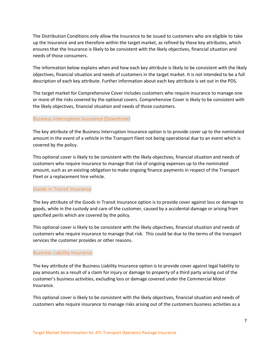The Distribution Conditions only allow the Insurance to be issued to customers who are eligible to take up the Insurance and are therefore within the target market, as refined by these key attributes, which ensures that the Insurance is likely to be consistent with the likely objectives, financial situation and needs of those consumers.

The information below explains when and how each key attribute is likely to be consistent with the likely objectives, financial situation and needs of customers in the target market. It is not intended to be a full description of each key attribute. Further information about each key attribute is set out in the PDS.

The target market for Comprehensive Cover includes customers who require insurance to manage one or more of the risks covered by the optional covers. Comprehensive Cover is likely to be consistent with the likely objectives, financial situation and needs of those customers.

### <span id="page-6-0"></span>Business Interruption Insurance (Downtime)

The key attribute of the Business Interruption Insurance option is to provide cover up to the nominated amount in the event of a vehicle in the Transport Fleet not being operational due to an event which is covered by the policy.

This optional cover is likely to be consistent with the likely objectives, financial situation and needs of customers who require insurance to manage that risk of ongoing expenses up to the nominated amount, such as an existing obligation to make ongoing finance payments in respect of the Transport Fleet or a replacement hire vehicle.

#### <span id="page-6-1"></span>Goods in Transit Insurance

The key attribute of the Goods in Transit Insurance option is to provide cover against loss or damage to goods, while in the custody and care of the customer, caused by a accidental damage or arising from specified perils which are covered by the policy.

This optional cover is likely to be consistent with the likely objectives, financial situation and needs of customers who require insurance to manage that risk. This could be due to the terms of the transport services the customer provides or other reasons.

#### <span id="page-6-2"></span>Business Liability Insurance

The key attribute of the Business Liability Insurance option is to provide cover against legal liability to pay amounts as a result of a claim for injury or damage to property of a third party arising out of the customer's business activities, excluding loss or damage covered under the Commercial Motor Insurance.

This optional cover is likely to be consistent with the likely objectives, financial situation and needs of customers who require insurance to manage risks arising out of the customers business activities as a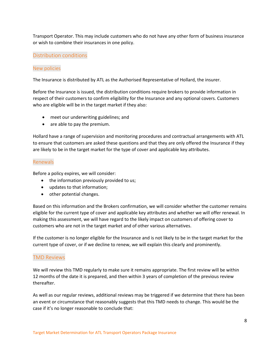Transport Operator. This may include customers who do not have any other form of business insurance or wish to combine their insurances in one policy.

### <span id="page-7-0"></span>Distribution conditions

#### <span id="page-7-1"></span>New policies

The Insurance is distributed by ATL as the Authorised Representative of Hollard, the insurer.

Before the Insurance is issued, the distribution conditions require brokers to provide information in respect of their customers to confirm eligibility for the Insurance and any optional covers. Customers who are eligible will be in the target market if they also:

- meet our underwriting guidelines; and
- are able to pay the premium.

Hollard have a range of supervision and monitoring procedures and contractual arrangements with ATL to ensure that customers are asked these questions and that they are only offered the Insurance if they are likely to be in the target market for the type of cover and applicable key attributes.

#### <span id="page-7-2"></span>Renewals

Before a policy expires, we will consider:

- the information previously provided to us;
- updates to that information;
- other potential changes.

Based on this information and the Brokers confirmation, we will consider whether the customer remains eligible for the current type of cover and applicable key attributes and whether we will offer renewal. In making this assessment, we will have regard to the likely impact on customers of offering cover to customers who are not in the target market and of other various alternatives.

If the customer is no longer eligible for the Insurance and is not likely to be in the target market for the current type of cover, or if we decline to renew, we will explain this clearly and prominently.

## <span id="page-7-3"></span>TMD Reviews

We will review this TMD regularly to make sure it remains appropriate. The first review will be within 12 months of the date it is prepared, and then within 3 years of completion of the previous review thereafter.

As well as our regular reviews, additional reviews may be triggered if we determine that there has been an event or circumstance that reasonably suggests that this TMD needs to change. This would be the case if it's no longer reasonable to conclude that: